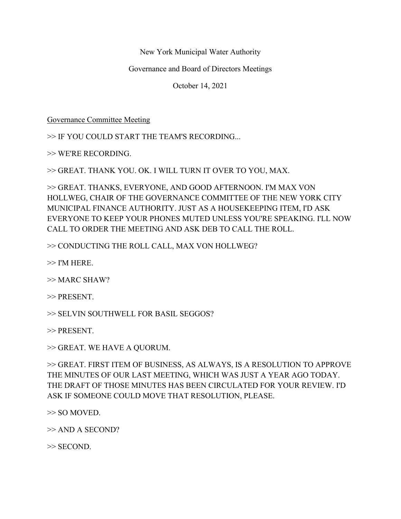New York Municipal Water Authority

Governance and Board of Directors Meetings

October 14, 2021

Governance Committee Meeting

>> IF YOU COULD START THE TEAM'S RECORDING...

>> WE'RE RECORDING.

>> GREAT. THANK YOU. OK. I WILL TURN IT OVER TO YOU, MAX.

>> GREAT. THANKS, EVERYONE, AND GOOD AFTERNOON. I'M MAX VON HOLLWEG, CHAIR OF THE GOVERNANCE COMMITTEE OF THE NEW YORK CITY MUNICIPAL FINANCE AUTHORITY. JUST AS A HOUSEKEEPING ITEM, I'D ASK EVERYONE TO KEEP YOUR PHONES MUTED UNLESS YOU'RE SPEAKING. I'LL NOW CALL TO ORDER THE MEETING AND ASK DEB TO CALL THE ROLL.

>> CONDUCTING THE ROLL CALL, MAX VON HOLLWEG?

 $\gg$  I'M HERE.

>> MARC SHAW?

>> PRESENT.

>> SELVIN SOUTHWELL FOR BASIL SEGGOS?

>> PRESENT.

>> GREAT. WE HAVE A QUORUM.

>> GREAT. FIRST ITEM OF BUSINESS, AS ALWAYS, IS A RESOLUTION TO APPROVE THE MINUTES OF OUR LAST MEETING, WHICH WAS JUST A YEAR AGO TODAY. THE DRAFT OF THOSE MINUTES HAS BEEN CIRCULATED FOR YOUR REVIEW. I'D ASK IF SOMEONE COULD MOVE THAT RESOLUTION, PLEASE.

>> SO MOVED.

>> AND A SECOND?

>> SECOND.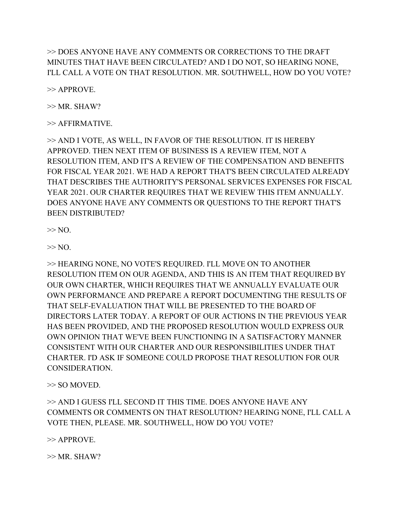>> DOES ANYONE HAVE ANY COMMENTS OR CORRECTIONS TO THE DRAFT MINUTES THAT HAVE BEEN CIRCULATED? AND I DO NOT, SO HEARING NONE, I'LL CALL A VOTE ON THAT RESOLUTION. MR. SOUTHWELL, HOW DO YOU VOTE?

>> APPROVE.

 $>> MR$ . SHAW?

>> AFFIRMATIVE.

>> AND I VOTE, AS WELL, IN FAVOR OF THE RESOLUTION. IT IS HEREBY APPROVED. THEN NEXT ITEM OF BUSINESS IS A REVIEW ITEM, NOT A RESOLUTION ITEM, AND IT'S A REVIEW OF THE COMPENSATION AND BENEFITS FOR FISCAL YEAR 2021. WE HAD A REPORT THAT'S BEEN CIRCULATED ALREADY THAT DESCRIBES THE AUTHORITY'S PERSONAL SERVICES EXPENSES FOR FISCAL YEAR 2021. OUR CHARTER REQUIRES THAT WE REVIEW THIS ITEM ANNUALLY. DOES ANYONE HAVE ANY COMMENTS OR QUESTIONS TO THE REPORT THAT'S BEEN DISTRIBUTED?

 $\gg$  NO.

 $\gg$  NO.

>> HEARING NONE, NO VOTE'S REQUIRED. I'LL MOVE ON TO ANOTHER RESOLUTION ITEM ON OUR AGENDA, AND THIS IS AN ITEM THAT REQUIRED BY OUR OWN CHARTER, WHICH REQUIRES THAT WE ANNUALLY EVALUATE OUR OWN PERFORMANCE AND PREPARE A REPORT DOCUMENTING THE RESULTS OF THAT SELF-EVALUATION THAT WILL BE PRESENTED TO THE BOARD OF DIRECTORS LATER TODAY. A REPORT OF OUR ACTIONS IN THE PREVIOUS YEAR HAS BEEN PROVIDED, AND THE PROPOSED RESOLUTION WOULD EXPRESS OUR OWN OPINION THAT WE'VE BEEN FUNCTIONING IN A SATISFACTORY MANNER CONSISTENT WITH OUR CHARTER AND OUR RESPONSIBILITIES UNDER THAT CHARTER. I'D ASK IF SOMEONE COULD PROPOSE THAT RESOLUTION FOR OUR CONSIDERATION.

>> SO MOVED.

>> AND I GUESS I'LL SECOND IT THIS TIME. DOES ANYONE HAVE ANY COMMENTS OR COMMENTS ON THAT RESOLUTION? HEARING NONE, I'LL CALL A VOTE THEN, PLEASE. MR. SOUTHWELL, HOW DO YOU VOTE?

>> APPROVE.

 $>> MR. SHAW?$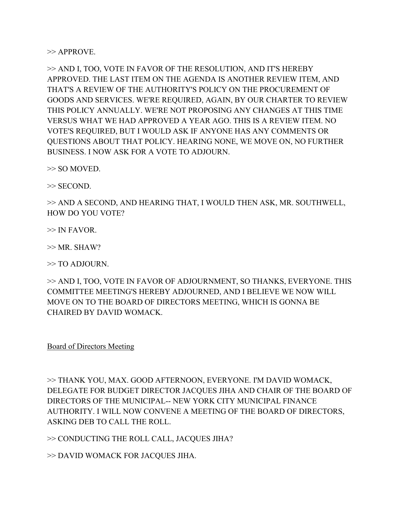$\gg$  APPROVE.

>> AND I, TOO, VOTE IN FAVOR OF THE RESOLUTION, AND IT'S HEREBY APPROVED. THE LAST ITEM ON THE AGENDA IS ANOTHER REVIEW ITEM, AND THAT'S A REVIEW OF THE AUTHORITY'S POLICY ON THE PROCUREMENT OF GOODS AND SERVICES. WE'RE REQUIRED, AGAIN, BY OUR CHARTER TO REVIEW THIS POLICY ANNUALLY. WE'RE NOT PROPOSING ANY CHANGES AT THIS TIME VERSUS WHAT WE HAD APPROVED A YEAR AGO. THIS IS A REVIEW ITEM. NO VOTE'S REQUIRED, BUT I WOULD ASK IF ANYONE HAS ANY COMMENTS OR QUESTIONS ABOUT THAT POLICY. HEARING NONE, WE MOVE ON, NO FURTHER BUSINESS. I NOW ASK FOR A VOTE TO ADJOURN.

>> SO MOVED.

>> SECOND.

>> AND A SECOND, AND HEARING THAT, I WOULD THEN ASK, MR. SOUTHWELL, HOW DO YOU VOTE?

 $\gg$  IN FAVOR.

 $>> MR$ . SHAW?

>> TO ADJOURN.

>> AND I, TOO, VOTE IN FAVOR OF ADJOURNMENT, SO THANKS, EVERYONE. THIS COMMITTEE MEETING'S HEREBY ADJOURNED, AND I BELIEVE WE NOW WILL MOVE ON TO THE BOARD OF DIRECTORS MEETING, WHICH IS GONNA BE CHAIRED BY DAVID WOMACK.

Board of Directors Meeting

>> THANK YOU, MAX. GOOD AFTERNOON, EVERYONE. I'M DAVID WOMACK, DELEGATE FOR BUDGET DIRECTOR JACQUES JIHA AND CHAIR OF THE BOARD OF DIRECTORS OF THE MUNICIPAL-- NEW YORK CITY MUNICIPAL FINANCE AUTHORITY. I WILL NOW CONVENE A MEETING OF THE BOARD OF DIRECTORS, ASKING DEB TO CALL THE ROLL.

>> CONDUCTING THE ROLL CALL, JACQUES JIHA?

>> DAVID WOMACK FOR JACQUES JIHA.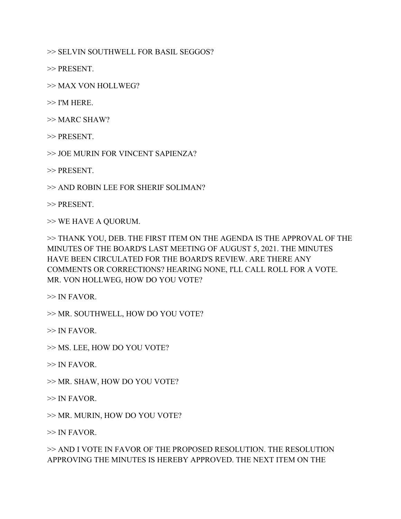>> SELVIN SOUTHWELL FOR BASIL SEGGOS?

>> PRESENT.

>> MAX VON HOLLWEG?

 $>>$  I'M HERE.

>> MARC SHAW?

>> PRESENT.

>> JOE MURIN FOR VINCENT SAPIENZA?

>> PRESENT.

>> AND ROBIN LEE FOR SHERIF SOLIMAN?

>> PRESENT.

>> WE HAVE A QUORUM.

>> THANK YOU, DEB. THE FIRST ITEM ON THE AGENDA IS THE APPROVAL OF THE MINUTES OF THE BOARD'S LAST MEETING OF AUGUST 5, 2021. THE MINUTES HAVE BEEN CIRCULATED FOR THE BOARD'S REVIEW. ARE THERE ANY COMMENTS OR CORRECTIONS? HEARING NONE, I'LL CALL ROLL FOR A VOTE. MR. VON HOLLWEG, HOW DO YOU VOTE?

 $\gg$  IN FAVOR.

>> MR. SOUTHWELL, HOW DO YOU VOTE?

 $\gg$  IN FAVOR.

>> MS. LEE, HOW DO YOU VOTE?

 $\gg$  IN FAVOR.

>> MR. SHAW, HOW DO YOU VOTE?

 $\gg$  IN FAVOR.

>> MR. MURIN, HOW DO YOU VOTE?

 $\gg$  IN FAVOR.

>> AND I VOTE IN FAVOR OF THE PROPOSED RESOLUTION. THE RESOLUTION APPROVING THE MINUTES IS HEREBY APPROVED. THE NEXT ITEM ON THE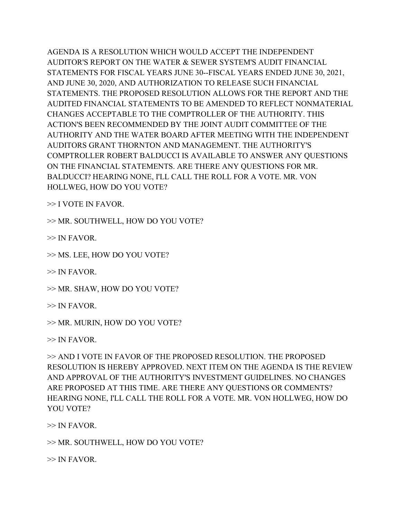AGENDA IS A RESOLUTION WHICH WOULD ACCEPT THE INDEPENDENT AUDITOR'S REPORT ON THE WATER & SEWER SYSTEM'S AUDIT FINANCIAL STATEMENTS FOR FISCAL YEARS JUNE 30--FISCAL YEARS ENDED JUNE 30, 2021, AND JUNE 30, 2020, AND AUTHORIZATION TO RELEASE SUCH FINANCIAL STATEMENTS. THE PROPOSED RESOLUTION ALLOWS FOR THE REPORT AND THE AUDITED FINANCIAL STATEMENTS TO BE AMENDED TO REFLECT NONMATERIAL CHANGES ACCEPTABLE TO THE COMPTROLLER OF THE AUTHORITY. THIS ACTION'S BEEN RECOMMENDED BY THE JOINT AUDIT COMMITTEE OF THE AUTHORITY AND THE WATER BOARD AFTER MEETING WITH THE INDEPENDENT AUDITORS GRANT THORNTON AND MANAGEMENT. THE AUTHORITY'S COMPTROLLER ROBERT BALDUCCI IS AVAILABLE TO ANSWER ANY QUESTIONS ON THE FINANCIAL STATEMENTS. ARE THERE ANY QUESTIONS FOR MR. BALDUCCI? HEARING NONE, I'LL CALL THE ROLL FOR A VOTE. MR. VON HOLLWEG, HOW DO YOU VOTE?

>> I VOTE IN FAVOR.

>> MR. SOUTHWELL, HOW DO YOU VOTE?

 $\gg$  IN FAVOR.

>> MS. LEE, HOW DO YOU VOTE?

 $\gg$  IN FAVOR.

>> MR. SHAW, HOW DO YOU VOTE?

 $\gg$  IN FAVOR.

>> MR. MURIN, HOW DO YOU VOTE?

 $\gg$  IN FAVOR.

>> AND I VOTE IN FAVOR OF THE PROPOSED RESOLUTION. THE PROPOSED RESOLUTION IS HEREBY APPROVED. NEXT ITEM ON THE AGENDA IS THE REVIEW AND APPROVAL OF THE AUTHORITY'S INVESTMENT GUIDELINES. NO CHANGES ARE PROPOSED AT THIS TIME. ARE THERE ANY QUESTIONS OR COMMENTS? HEARING NONE, I'LL CALL THE ROLL FOR A VOTE. MR. VON HOLLWEG, HOW DO YOU VOTE?

 $\gg$  IN FAVOR.

>> MR. SOUTHWELL, HOW DO YOU VOTE?

 $\gg$  IN FAVOR.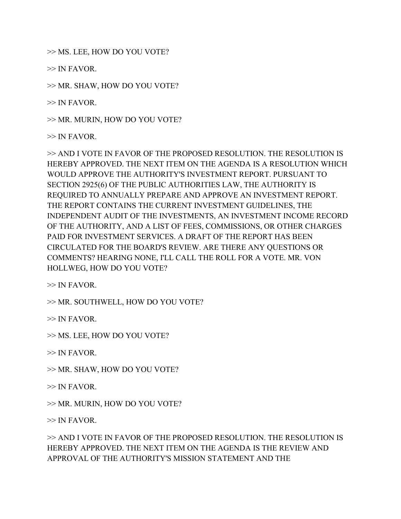>> MS. LEE, HOW DO YOU VOTE?

 $\gg$  IN FAVOR.

>> MR. SHAW, HOW DO YOU VOTE?

 $\gg$  IN FAVOR.

>> MR. MURIN, HOW DO YOU VOTE?

 $\gg$  IN FAVOR.

>> AND I VOTE IN FAVOR OF THE PROPOSED RESOLUTION. THE RESOLUTION IS HEREBY APPROVED. THE NEXT ITEM ON THE AGENDA IS A RESOLUTION WHICH WOULD APPROVE THE AUTHORITY'S INVESTMENT REPORT. PURSUANT TO SECTION 2925(6) OF THE PUBLIC AUTHORITIES LAW, THE AUTHORITY IS REQUIRED TO ANNUALLY PREPARE AND APPROVE AN INVESTMENT REPORT. THE REPORT CONTAINS THE CURRENT INVESTMENT GUIDELINES, THE INDEPENDENT AUDIT OF THE INVESTMENTS, AN INVESTMENT INCOME RECORD OF THE AUTHORITY, AND A LIST OF FEES, COMMISSIONS, OR OTHER CHARGES PAID FOR INVESTMENT SERVICES. A DRAFT OF THE REPORT HAS BEEN CIRCULATED FOR THE BOARD'S REVIEW. ARE THERE ANY QUESTIONS OR COMMENTS? HEARING NONE, I'LL CALL THE ROLL FOR A VOTE. MR. VON HOLLWEG, HOW DO YOU VOTE?

 $\gg$  IN FAVOR.

>> MR. SOUTHWELL, HOW DO YOU VOTE?

 $\gg$  IN FAVOR.

>> MS. LEE, HOW DO YOU VOTE?

 $>> IN FAVOR.$ 

- >> MR. SHAW, HOW DO YOU VOTE?
- $\gg$  IN FAVOR.

>> MR. MURIN, HOW DO YOU VOTE?

 $\gg$  IN FAVOR.

>> AND I VOTE IN FAVOR OF THE PROPOSED RESOLUTION. THE RESOLUTION IS HEREBY APPROVED. THE NEXT ITEM ON THE AGENDA IS THE REVIEW AND APPROVAL OF THE AUTHORITY'S MISSION STATEMENT AND THE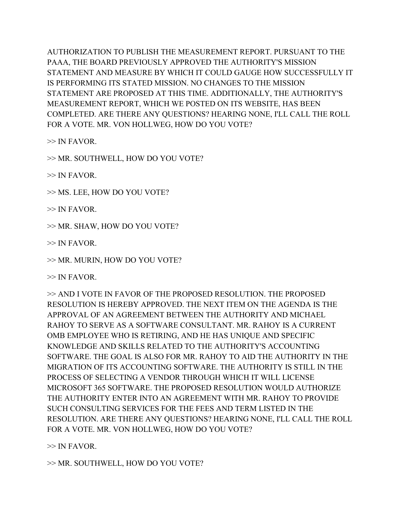AUTHORIZATION TO PUBLISH THE MEASUREMENT REPORT. PURSUANT TO THE PAAA, THE BOARD PREVIOUSLY APPROVED THE AUTHORITY'S MISSION STATEMENT AND MEASURE BY WHICH IT COULD GAUGE HOW SUCCESSFULLY IT IS PERFORMING ITS STATED MISSION. NO CHANGES TO THE MISSION STATEMENT ARE PROPOSED AT THIS TIME. ADDITIONALLY, THE AUTHORITY'S MEASUREMENT REPORT, WHICH WE POSTED ON ITS WEBSITE, HAS BEEN COMPLETED. ARE THERE ANY QUESTIONS? HEARING NONE, I'LL CALL THE ROLL FOR A VOTE. MR. VON HOLLWEG, HOW DO YOU VOTE?

 $\gg$  IN FAVOR.

>> MR. SOUTHWELL, HOW DO YOU VOTE?

 $\gg$  IN FAVOR.

>> MS. LEE, HOW DO YOU VOTE?

 $\gg$  IN FAVOR.

>> MR. SHAW, HOW DO YOU VOTE?

 $\gg$  IN FAVOR.

>> MR. MURIN, HOW DO YOU VOTE?

 $\gg$  IN FAVOR.

>> AND I VOTE IN FAVOR OF THE PROPOSED RESOLUTION. THE PROPOSED RESOLUTION IS HEREBY APPROVED. THE NEXT ITEM ON THE AGENDA IS THE APPROVAL OF AN AGREEMENT BETWEEN THE AUTHORITY AND MICHAEL RAHOY TO SERVE AS A SOFTWARE CONSULTANT. MR. RAHOY IS A CURRENT OMB EMPLOYEE WHO IS RETIRING, AND HE HAS UNIQUE AND SPECIFIC KNOWLEDGE AND SKILLS RELATED TO THE AUTHORITY'S ACCOUNTING SOFTWARE. THE GOAL IS ALSO FOR MR. RAHOY TO AID THE AUTHORITY IN THE MIGRATION OF ITS ACCOUNTING SOFTWARE. THE AUTHORITY IS STILL IN THE PROCESS OF SELECTING A VENDOR THROUGH WHICH IT WILL LICENSE MICROSOFT 365 SOFTWARE. THE PROPOSED RESOLUTION WOULD AUTHORIZE THE AUTHORITY ENTER INTO AN AGREEMENT WITH MR. RAHOY TO PROVIDE SUCH CONSULTING SERVICES FOR THE FEES AND TERM LISTED IN THE RESOLUTION. ARE THERE ANY QUESTIONS? HEARING NONE, I'LL CALL THE ROLL FOR A VOTE. MR. VON HOLLWEG, HOW DO YOU VOTE?

 $\gg$  IN FAVOR.

>> MR. SOUTHWELL, HOW DO YOU VOTE?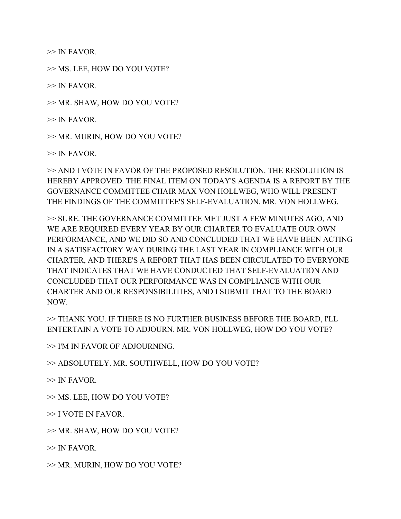$\gg$  IN FAVOR.

>> MS. LEE, HOW DO YOU VOTE?

 $\gg$  IN FAVOR.

>> MR. SHAW, HOW DO YOU VOTE?

 $\gg$  IN FAVOR.

>> MR. MURIN, HOW DO YOU VOTE?

 $\gg$  IN FAVOR.

>> AND I VOTE IN FAVOR OF THE PROPOSED RESOLUTION. THE RESOLUTION IS HEREBY APPROVED. THE FINAL ITEM ON TODAY'S AGENDA IS A REPORT BY THE GOVERNANCE COMMITTEE CHAIR MAX VON HOLLWEG, WHO WILL PRESENT THE FINDINGS OF THE COMMITTEE'S SELF-EVALUATION. MR. VON HOLLWEG.

>> SURE. THE GOVERNANCE COMMITTEE MET JUST A FEW MINUTES AGO, AND WE ARE REQUIRED EVERY YEAR BY OUR CHARTER TO EVALUATE OUR OWN PERFORMANCE, AND WE DID SO AND CONCLUDED THAT WE HAVE BEEN ACTING IN A SATISFACTORY WAY DURING THE LAST YEAR IN COMPLIANCE WITH OUR CHARTER, AND THERE'S A REPORT THAT HAS BEEN CIRCULATED TO EVERYONE THAT INDICATES THAT WE HAVE CONDUCTED THAT SELF-EVALUATION AND CONCLUDED THAT OUR PERFORMANCE WAS IN COMPLIANCE WITH OUR CHARTER AND OUR RESPONSIBILITIES, AND I SUBMIT THAT TO THE BOARD NOW.

>> THANK YOU. IF THERE IS NO FURTHER BUSINESS BEFORE THE BOARD, I'LL ENTERTAIN A VOTE TO ADJOURN. MR. VON HOLLWEG, HOW DO YOU VOTE?

>> I'M IN FAVOR OF ADJOURNING.

>> ABSOLUTELY. MR. SOUTHWELL, HOW DO YOU VOTE?

 $\gg$  IN FAVOR.

>> MS. LEE, HOW DO YOU VOTE?

>> I VOTE IN FAVOR.

>> MR. SHAW, HOW DO YOU VOTE?

 $\gg$  IN FAVOR.

>> MR. MURIN, HOW DO YOU VOTE?